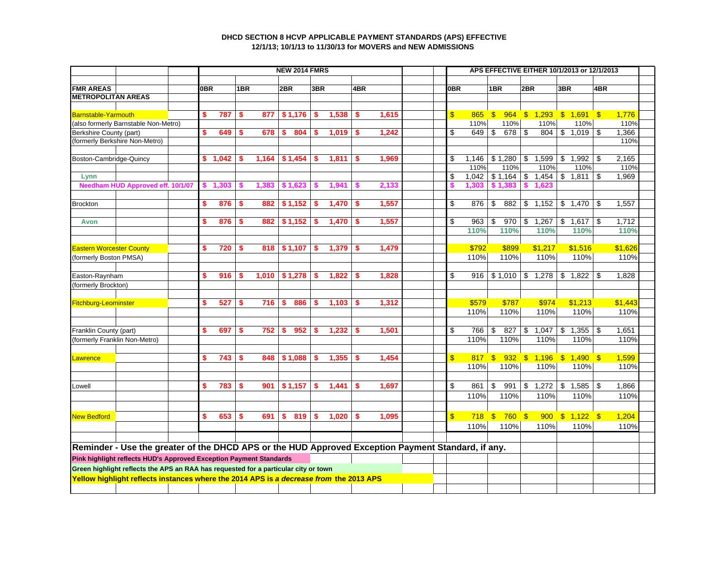## **DHCD SECTION 8 HCVP APPLICABLE PAYMENT STANDARDS (APS) EFFECTIVE 12/1/13; 10/1/13 to 11/30/13 for MOVERS and NEW ADMISSIONS**

|                                                                                                    |                                                                                        |    |            |       |       |           | <b>NEW 2014 FMRS</b> |       |       |       |       | APS EFFECTIVE EITHER 10/1/2013 or 12/1/2013 |       |                     |                    |                                 |                        |       |         |  |
|----------------------------------------------------------------------------------------------------|----------------------------------------------------------------------------------------|----|------------|-------|-------|-----------|----------------------|-------|-------|-------|-------|---------------------------------------------|-------|---------------------|--------------------|---------------------------------|------------------------|-------|---------|--|
|                                                                                                    |                                                                                        |    |            |       |       |           |                      |       |       |       |       |                                             |       |                     |                    |                                 |                        |       |         |  |
| <b>FMR AREAS</b>                                                                                   |                                                                                        |    | <b>OBR</b> |       | 1BR   |           | 2BR                  | 3BR   |       | 4BR   |       | <b>OBR</b>                                  |       | 1BR                 |                    | 2BR                             | 3BR                    | 4BR   |         |  |
| <b>METROPOLITAN AREAS</b>                                                                          |                                                                                        |    |            |       |       |           |                      |       |       |       |       |                                             |       |                     |                    |                                 |                        |       |         |  |
| <b>Barnstable-Yarmouth</b>                                                                         |                                                                                        |    | \$         | 787   | \$    | 877       | \$1,176              | s.    | 1,538 | \$    | 1,615 | $\mathbf{\$}$                               | 865   | $\mathbb{S}$<br>964 |                    | 1,293<br>$\mathbb{S}$           | $$1,691$ \$            |       | 1.776   |  |
|                                                                                                    | (also formerly Barnstable Non-Metro)                                                   |    |            |       |       |           |                      |       |       |       |       |                                             | 110%  |                     | 110%               | 110%                            | 110%                   |       | 110%    |  |
| Berkshire County (part)                                                                            |                                                                                        | \$ | 649        | \$    | 678   | 804<br>s. | S                    | 1,019 | \$    | 1,242 | \$    | 649                                         | \$    | 678                 | \$<br>804          | \$1,019                         | \$                     | 1,366 |         |  |
|                                                                                                    | (formerly Berkshire Non-Metro)                                                         |    |            |       |       |           |                      |       |       |       |       |                                             |       |                     |                    |                                 |                        |       | 110%    |  |
|                                                                                                    |                                                                                        |    |            |       |       |           |                      |       |       |       |       |                                             |       |                     |                    |                                 |                        |       |         |  |
| Boston-Cambridge-Quincy                                                                            |                                                                                        |    | s.         | 1,042 |       | 1,164     | \$1,454              | S     | 1,811 | S.    | 1,969 | \$                                          | 1.146 | \$1,280             |                    | \$<br>1,599                     | 1,992<br>\$            |       | 2.165   |  |
|                                                                                                    |                                                                                        |    |            |       |       |           |                      |       |       |       |       |                                             | 110%  | 110%                |                    | 110%                            | 110%                   |       | 110%    |  |
| Lynn                                                                                               |                                                                                        |    |            |       |       |           |                      |       |       |       |       | \$                                          | 1,042 |                     |                    | $$1,164$ \ \$ 1,454             | \$1,811                | \$    | 1,969   |  |
|                                                                                                    | Needham HUD Approved eff. 10/1/07                                                      |    |            | 1,303 | S     | 1,383     | \$1,623              | S     | 1,941 |       | 2,133 |                                             | 1,303 | \$1,383             |                    | \$<br>1.623                     |                        |       |         |  |
|                                                                                                    |                                                                                        |    |            |       |       |           |                      |       |       |       |       |                                             |       |                     |                    |                                 |                        |       |         |  |
| <b>Brockton</b>                                                                                    |                                                                                        |    | \$         | 876   | \$    | 882       | \$1,152              | S.    | 1,470 | S.    | 1,557 | \$                                          | 876   | \$                  | 882                | \$<br>1,152                     | $\mathfrak s$<br>1,470 | -\$   | 1,557   |  |
|                                                                                                    |                                                                                        |    | \$         | 876   | s.    | 882       | \$1,152              | S     | 1,470 | S.    | 1,557 | \$                                          | 963   | \$                  | 970                | \$<br>1,267                     | \$1,617                | \$    | 1,712   |  |
| Avon                                                                                               |                                                                                        |    |            |       |       |           |                      |       |       |       |       |                                             | 110%  | 110%                |                    | 110%                            | 110%                   |       | 110%    |  |
|                                                                                                    |                                                                                        |    |            |       |       |           |                      |       |       |       |       |                                             |       |                     |                    |                                 |                        |       |         |  |
| <b>Eastern Worcester County</b>                                                                    |                                                                                        |    | \$         | 720   | \$    | 818       | \$1,107              | s.    | 1,379 | s.    | 1,479 |                                             | \$792 | \$899               |                    | \$1,217                         | \$1,516                |       | \$1,626 |  |
| (formerly Boston PMSA)                                                                             |                                                                                        |    |            |       |       |           |                      |       |       |       |       | 110%                                        | 110%  |                     | 110%               | 110%                            |                        | 110%  |         |  |
|                                                                                                    |                                                                                        |    |            |       |       |           |                      |       |       |       |       |                                             |       |                     |                    |                                 |                        |       |         |  |
| Easton-Raynham                                                                                     |                                                                                        | \$ | 916        | \$    | 1,010 | \$1,278   | s.                   | 1,822 | \$    | 1,828 | \$    | 916                                         |       |                     | $$1,010$ \\$ 1,278 | \$1,822                         | \$                     | 1,828 |         |  |
| (formerly Brockton)                                                                                |                                                                                        |    |            |       |       |           |                      |       |       |       |       |                                             |       |                     |                    |                                 |                        |       |         |  |
|                                                                                                    |                                                                                        |    |            |       |       |           |                      |       |       |       |       |                                             |       |                     |                    |                                 |                        |       |         |  |
| Fitchburg-Leominster                                                                               |                                                                                        |    | \$         | 527   | \$    | 716       | s.<br>886            | s.    | 1,103 | s.    | 1,312 |                                             | \$579 | \$787               |                    | \$974                           | \$1,213                |       | \$1,443 |  |
|                                                                                                    |                                                                                        |    |            |       |       |           |                      |       |       |       |       |                                             | 110%  | 110%                |                    | 110%                            | 110%                   |       | 110%    |  |
|                                                                                                    |                                                                                        |    |            |       |       |           |                      |       |       |       |       |                                             |       |                     |                    |                                 |                        |       |         |  |
| Franklin County (part)                                                                             |                                                                                        |    | \$         | 697   | \$    | 752       | 952<br>s.            | s.    | 1,232 | \$    | 1,501 | \$                                          | 766   | \$<br>827           |                    | \$<br>1,047                     | \$<br>$1,355$ \$       |       | 1,651   |  |
|                                                                                                    | (formerly Franklin Non-Metro)                                                          |    |            |       |       |           |                      |       |       |       |       |                                             | 110%  | 110%                |                    | 110%                            | 110%                   |       | 110%    |  |
|                                                                                                    |                                                                                        |    |            |       |       |           |                      |       |       |       |       |                                             |       |                     |                    |                                 |                        |       |         |  |
| Lawrence                                                                                           |                                                                                        |    | \$         | 743   | \$    | 848       | \$1,088              | s.    | 1,355 | \$    | 1,454 | $\mathbf{\$}$                               | 110%  | 110%                |                    | 817 \$ 932 \$ 1,196 \$ 1,490 \$ |                        |       | 1,599   |  |
|                                                                                                    |                                                                                        |    |            |       |       |           |                      |       |       |       |       |                                             |       |                     |                    | 110%                            | 110%                   |       | 110%    |  |
|                                                                                                    |                                                                                        |    | \$         |       |       |           |                      |       |       |       |       | \$                                          |       | \$                  |                    |                                 |                        |       |         |  |
| Lowell                                                                                             |                                                                                        |    |            | 783   | \$    | 901       | \$1,157              | S.    | 1,441 | \$    | 1,697 |                                             | 861   | 991                 |                    | \$<br>1,272                     | $\sqrt[6]{3}$<br>1,585 | \$    | 1.866   |  |
|                                                                                                    |                                                                                        |    |            |       |       |           |                      |       |       |       |       |                                             | 110%  | 110%                |                    | 110%                            | 110%                   |       | 110%    |  |
|                                                                                                    |                                                                                        |    |            |       |       |           |                      |       |       |       |       |                                             |       |                     |                    |                                 |                        |       |         |  |
| <b>New Bedford</b>                                                                                 |                                                                                        |    | \$         | 653   | \$    | 691       | 819<br>\$            | S.    | 1,020 | \$    | 1,095 | $\overline{\mathbb{S}}$                     | 718   | $$760$ \$           |                    |                                 | $900 \t$ 1,122 \t$$    |       | 1,204   |  |
|                                                                                                    |                                                                                        |    |            |       |       |           |                      |       |       |       |       |                                             | 110%  | 110%                |                    | 110%                            | 110%                   |       | 110%    |  |
|                                                                                                    |                                                                                        |    |            |       |       |           |                      |       |       |       |       |                                             |       |                     |                    |                                 |                        |       |         |  |
| Reminder - Use the greater of the DHCD APS or the HUD Approved Exception Payment Standard, if any. |                                                                                        |    |            |       |       |           |                      |       |       |       |       |                                             |       |                     |                    |                                 |                        |       |         |  |
| Pink highlight reflects HUD's Approved Exception Payment Standards                                 |                                                                                        |    |            |       |       |           |                      |       |       |       |       |                                             |       |                     |                    |                                 |                        |       |         |  |
| Green highlight reflects the APS an RAA has requested for a particular city or town                |                                                                                        |    |            |       |       |           |                      |       |       |       |       |                                             |       |                     |                    |                                 |                        |       |         |  |
|                                                                                                    | Yellow highlight reflects instances where the 2014 APS is a decrease from the 2013 APS |    |            |       |       |           |                      |       |       |       |       |                                             |       |                     |                    |                                 |                        |       |         |  |
|                                                                                                    |                                                                                        |    |            |       |       |           |                      |       |       |       |       |                                             |       |                     |                    |                                 |                        |       |         |  |
|                                                                                                    |                                                                                        |    |            |       |       |           |                      |       |       |       |       |                                             |       |                     |                    |                                 |                        |       |         |  |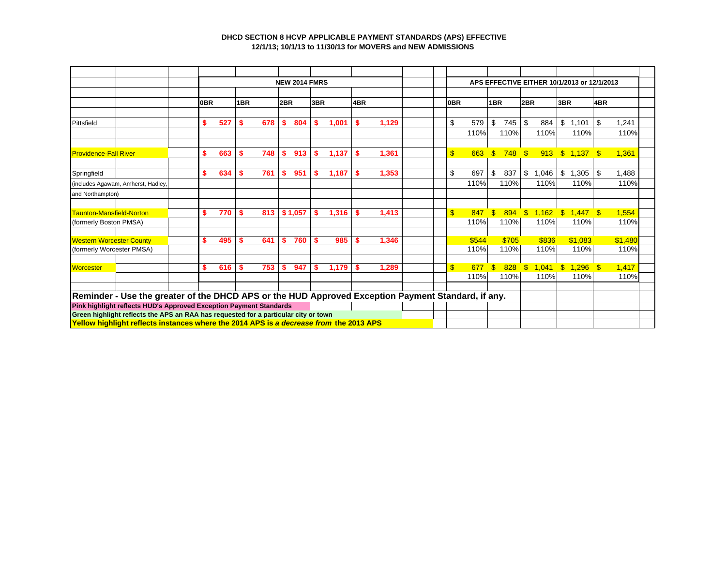## **DHCD SECTION 8 HCVP APPLICABLE PAYMENT STANDARDS (APS) EFFECTIVE 12/1/13; 10/1/13 to 11/30/13 for MOVERS and NEW ADMISSIONS**

|                                                                    |                                                                                                    |     |            |    |     |    | <b>NEW 2014 FMRS</b> |     |       |    |       |     | APS EFFECTIVE EITHER 10/1/2013 or 12/1/2013 |              |       |                    |       |              |            |     |         |  |  |  |
|--------------------------------------------------------------------|----------------------------------------------------------------------------------------------------|-----|------------|----|-----|----|----------------------|-----|-------|----|-------|-----|---------------------------------------------|--------------|-------|--------------------|-------|--------------|------------|-----|---------|--|--|--|
|                                                                    |                                                                                                    |     | 0BR<br>1BR |    | 2BR |    | 3BR                  |     | 4BR   |    |       |     |                                             |              |       |                    |       |              |            |     |         |  |  |  |
|                                                                    |                                                                                                    |     |            |    |     |    |                      |     |       |    |       | 0BR |                                             | 1BR          |       | 2BR                | 3BR   |              | 4BR        |     |         |  |  |  |
| Pittsfield                                                         |                                                                                                    | \$  | 527        | \$ | 678 | s. | 804                  | \$  | 1.001 | \$ | 1,129 |     | \$<br>579                                   | \$           | 745   | \$                 | 884   | \$           | 1.101      | \$  | 1.241   |  |  |  |
|                                                                    |                                                                                                    |     |            |    |     |    |                      |     |       |    |       |     | 110%                                        |              | 110%  |                    | 110%  |              | 110%       |     | 110%    |  |  |  |
|                                                                    |                                                                                                    |     |            |    |     |    |                      |     |       |    |       |     |                                             |              |       |                    |       |              |            |     |         |  |  |  |
| <b>Providence-Fall River</b>                                       |                                                                                                    | S   | 663        | \$ | 748 | \$ | 913                  | S   | 1,137 |    | 1,361 |     | $\mathbf{s}$<br>663                         | \$           | 748   | $\mathbf{\hat{s}}$ | 913   |              | \$1,137    | -\$ | 1,361   |  |  |  |
| Springfield                                                        |                                                                                                    | S   | 634        | s  | 761 | \$ | 951                  | s.  | 1,187 | -S | 1,353 |     | \$<br>697                                   | \$           | 837   | \$                 | 1,046 | \$           | 1,305      | \$  | 1,488   |  |  |  |
| (includes Agawam, Amherst, Hadley,                                 |                                                                                                    |     |            |    |     |    |                      |     |       |    |       |     | 110%                                        |              | 110%  |                    | 110%  |              | 110%       |     | 110%    |  |  |  |
| and Northampton)                                                   |                                                                                                    |     |            |    |     |    |                      |     |       |    |       |     |                                             |              |       |                    |       |              |            |     |         |  |  |  |
|                                                                    |                                                                                                    |     |            |    |     |    |                      |     |       |    |       |     |                                             |              |       |                    |       |              |            |     |         |  |  |  |
|                                                                    | Taunton-Mansfield-Norton                                                                           | s.  | 770        | s  | 813 |    | \$1,057              | S   | 1,316 |    | 1,413 |     | $\mathbf{\$}$<br>847                        | $\mathbf{s}$ | 894   | $\mathbf{\$}$      | 1,162 | $\mathbf{s}$ | $1,447$ \$ |     | 1,554   |  |  |  |
| (formerly Boston PMSA)                                             |                                                                                                    |     |            |    |     |    |                      |     |       |    |       |     | 110%                                        |              | 110%  |                    | 110%  |              | 110%       |     | 110%    |  |  |  |
|                                                                    | <b>Western Worcester County</b>                                                                    | s.  | 495        | S. | 641 | s. | 760                  | \$. | 985   |    | 1,346 |     | \$544                                       |              | \$705 |                    | \$836 |              | \$1,083    |     | \$1,480 |  |  |  |
|                                                                    | (formerly Worcester PMSA)                                                                          |     |            |    |     |    |                      |     |       |    |       |     | 110%                                        |              | 110%  |                    | 110%  |              | 110%       |     | 110%    |  |  |  |
| <b>Worcester</b>                                                   |                                                                                                    | \$. | 616        | S  | 753 | s. | 947                  | s.  | 1.179 | S  | 1,289 |     | \$<br>677                                   | \$           | 828   | $\mathbb{S}$       | 1,041 | $\mathbb{S}$ | 1,296      |     | 1,417   |  |  |  |
|                                                                    |                                                                                                    |     |            |    |     |    |                      |     |       |    |       |     | 110%                                        |              | 110%  |                    | 110%  |              | 110%       |     | 110%    |  |  |  |
|                                                                    |                                                                                                    |     |            |    |     |    |                      |     |       |    |       |     |                                             |              |       |                    |       |              |            |     |         |  |  |  |
|                                                                    | Reminder - Use the greater of the DHCD APS or the HUD Approved Exception Payment Standard, if any. |     |            |    |     |    |                      |     |       |    |       |     |                                             |              |       |                    |       |              |            |     |         |  |  |  |
| Pink highlight reflects HUD's Approved Exception Payment Standards |                                                                                                    |     |            |    |     |    |                      |     |       |    |       |     |                                             |              |       |                    |       |              |            |     |         |  |  |  |
|                                                                    | Green highlight reflects the APS an RAA has requested for a particular city or town                |     |            |    |     |    |                      |     |       |    |       |     |                                             |              |       |                    |       |              |            |     |         |  |  |  |
|                                                                    | Yellow highlight reflects instances where the 2014 APS is a decrease from the 2013 APS             |     |            |    |     |    |                      |     |       |    |       |     |                                             |              |       |                    |       |              |            |     |         |  |  |  |